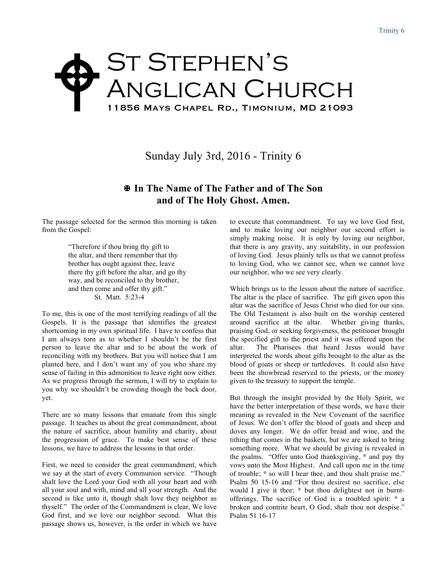## St Stephen's Anglican Church 11856 Mays Chapel Rd., Timonium, MD 21093  $\blacklozenge$

Sunday July 3rd, 2016 - Trinity 6

## X **In The Name of The Father and of The Son and of The Holy Ghost. Amen.**

The passage selected for the sermon this morning is taken from the Gospel:

> "Therefore if thou bring thy gift to the altar, and there remember that thy brother has ought against thee, leave there thy gift before the altar, and go thy way, and be reconciled to thy brother, and then come and offer thy gift." St. Matt. 5:23-4

To me, this is one of the most terrifying readings of all the Gospels. It is the passage that identifies the greatest shortcoming in my own spiritual life. I have to confess that I am always torn as to whether I shouldn't be the first person to leave the altar and to be about the work of reconciling with my brothers. But you will notice that I am planted here, and I don't want any of you who share my sense of failing in this admonition to leave right now either. As we progress through the sermon, I will try to explain to you why we shouldn't be crowding though the back door, yet.

There are so many lessons that emanate from this single passage. It teaches us about the great commandment, about the nature of sacrifice, about humility and charity, about the progression of grace. To make best sense of these lessons, we have to address the lessons in that order.

First, we need to consider the great commandment, which we say at the start of every Communion service. "Though shalt love the Lord your God with all your heart and with all your soul and with, mind and all your strength. And the second is like unto it, though shalt love they neighbor as thyself." The order of the Commandment is clear, We love God first, and we love our neighbor second. What this passage shows us, however, is the order in which we have

to execute that commandment. To say we love God first, and to make loving our neighbor our second effort is simply making noise. It is only by loving our neighbor, that there is any gravity, any suitability, in our profession of loving God. Jesus plainly tells us that we cannot profess to loving God, who we cannot see, when we cannot love our neighbor, who we see very clearly.

Which brings us to the lesson about the nature of sacrifice. The altar is the place of sacrifice. The gift given upon this altar was the sacrifice of Jesus Christ who died for our sins. The Old Testament is also built on the worship centered around sacrifice at the altar. Whether giving thanks, praising God, or seeking forgiveness, the petitioner brought the specified gift to the priest and it was offered upon the altar. The Pharisees that heard Jesus would have interpreted the words about gifts brought to the altar as the blood of goats or sheep or turtledoves. It could also have been the showbread reserved to the priests, or the money given to the treasury to support the temple.

But through the insight provided by the Holy Spirit, we have the better interpretation of these words, we have their meaning as revealed in the New Covenant of the sacrifice of Jesus. We don't offer the blood of goats and sheep and doves any longer. We do offer bread and wine, and the tithing that comes in the baskets, but we are asked to bring something more. What we should be giving is revealed in the psalms. "Offer unto God thanksgiving, \* and pay thy vows unto the Most Highest. And call upon me in the time of trouble; \* so will I hear thee, and thou shalt praise me." Psalm 50 15-16 and "For thou desirest no sacrifice, else would I give it thee; \* but thou delightest not in burntofferings. The sacrifice of God is a troubled spirit: \* a broken and contrite heart, O God, shalt thou not despise." Psalm 51 16-17